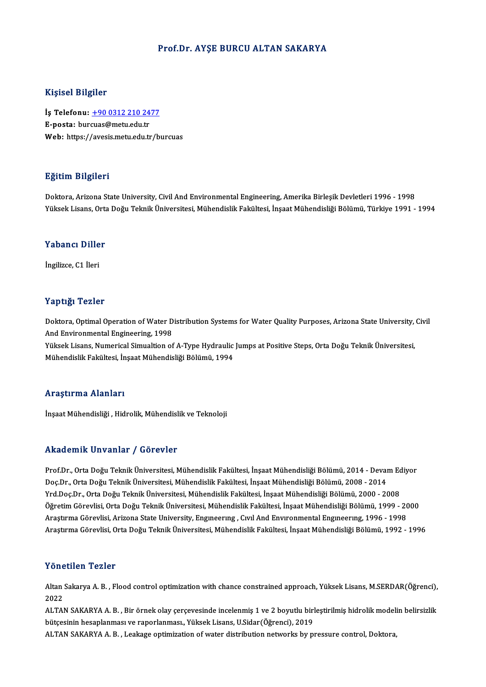#### Prof.Dr. AYŞE BURCU ALTAN SAKARYA

#### Kişisel Bilgiler

Kişisel Bilgiler<br>İş Telefonu: <u>+90 0312 210 2477</u><br>E nosta: burgues@metu.edu.tr 11191001 Dingitor<br>İş Telefonu: <u>+90 0312 210 24</u><br>E-posta: bur[cuas@metu.edu.tr](tel:+90 0312 210 2477) E-posta: burcuas@metu.edu.tr<br>Web: https://avesis.metu.edu.tr/burcuas

#### Eğitim Bilgileri

Doktora, Arizona State University, Civil And Environmental Engineering, Amerika Birleşik Devletleri 1996 - 1998 Yüksek Lisans, Orta Doğu Teknik Üniversitesi, Mühendislik Fakültesi, İnşaat Mühendisliği Bölümü, Türkiye 1991 - 1994

## ruksek Lisans, orta<br>Yabancı Diller Y<mark>abancı Dille</mark><br>İngilizce, C1 İleri

# İngilizce, C1 İleri<br>Yaptığı Tezler

Yaptığı Tezler<br>Doktora, Optimal Operation of Water Distribution Systems for Water Quality Purposes, Arizona State University, Civil<br>And Environmental Engineering, 1998 And Environmental Engineering, 1998<br>Yüksek Lisans, Numerical Simualtion of A-Type Hydraulic Jumps at Positive Steps, Orta Doğu Teknik Üniversitesi, Doktora, Optimal Operation of Water Distribution Systems for Water Quality Purposes, Arizona State University,<br>And Environmental Engineering, 1998<br>Yüksek Lisans, Numerical Simualtion of A-Type Hydraulic Jumps at Positive S

Mühendislik Fakültesi, İnşaat Mühendisliği Bölümü, 1994

#### Araştırma Alanları

İnşaat Mühendisliği , Hidrolik, Mühendislik ve Teknoloji

#### Akademik Unvanlar / Görevler

Akademik Unvanlar / Görevler<br>Prof.Dr., Orta Doğu Teknik Üniversitesi, Mühendislik Fakültesi, İnşaat Mühendisliği Bölümü, 2014 - Devam Ediyor<br>Des Dr., Orta Doğu Teknik Üniversitesi, Mühendislik Fakültesi, İnsaat Mühendisliğ rrikud emrik "on varirar" yı dör evrer<br>Prof.Dr., Orta Doğu Teknik Üniversitesi, Mühendislik Fakültesi, İnşaat Mühendisliği Bölümü, 2014 - Devai<br>Doç.Dr., Orta Doğu Teknik Üniversitesi, Mühendislik Fakültesi, İnşaat Mühendis Prof.Dr., Orta Doğu Teknik Üniversitesi, Mühendislik Fakültesi, İnşaat Mühendisliği Bölümü, 2014 - Devam Ec<br>Doç.Dr., Orta Doğu Teknik Üniversitesi, Mühendislik Fakültesi, İnşaat Mühendisliği Bölümü, 2008 - 2014<br>Yrd.Doç.Dr. Doç.Dr., Orta Doğu Teknik Üniversitesi, Mühendislik Fakültesi, İnşaat Mühendisliği Bölümü, 2008 - 2014<br>Yrd.Doç.Dr., Orta Doğu Teknik Üniversitesi, Mühendislik Fakültesi, İnşaat Mühendisliği Bölümü, 2000 - 2008<br>Öğretim Göre Yrd.Doç.Dr., Orta Doğu Teknik Üniversitesi, Mühendislik Fakültesi, İnşaat Mühendisliği Bölümü, 2000 - 2008<br>Öğretim Görevlisi, Orta Doğu Teknik Üniversitesi, Mühendislik Fakültesi, İnşaat Mühendisliği Bölümü, 1999 - 20<br>Araş Araştırma Görevlisi, Arizona State University, Engıneerıng , Cıvıl And Envıronmental Engıneerıng, 1996 - 1998<br>Araştırma Görevlisi, Orta Doğu Teknik Üniversitesi, Mühendislik Fakültesi, İnşaat Mühendisliği Bölümü, 1992 - 19

#### Yönetilen Tezler

Yönetilen Tezler<br>Altan Sakarya A. B. , Flood control optimization with chance constrained approach, Yüksek Lisans, M.SERDAR(Öğrenci),<br>2022 1 0 1 1<br>Altan<br>2022 Altan Sakarya A. B. , Flood control optimization with chance constrained approach, Yüksek Lisans, M.SERDAR(Öğrenci),<br>2022<br>ALTAN SAKARYA A. B. , Bir örnek olay çerçevesinde incelenmiş 1 ve 2 boyutlu birleştirilmiş hidrolik

2022<br>ALTAN SAKARYA A. B. , Bir örnek olay çerçevesinde incelenmiş 1 ve 2 boyutlu birl<br>bütçesinin hesaplanması ve raporlanması., Yüksek Lisans, U.Sidar(Öğrenci), 2019<br>ALTAN SAKARYA A. B. , Leekage entimization ef yınter dis ALTAN SAKARYA A. B. , Bir örnek olay çerçevesinde incelenmiş 1 ve 2 boyutlu birleştirilmiş hidrolik model:<br>bütçesinin hesaplanması ve raporlanması., Yüksek Lisans, U.Sidar(Öğrenci), 2019<br>ALTAN SAKARYA A. B. , Leakage optim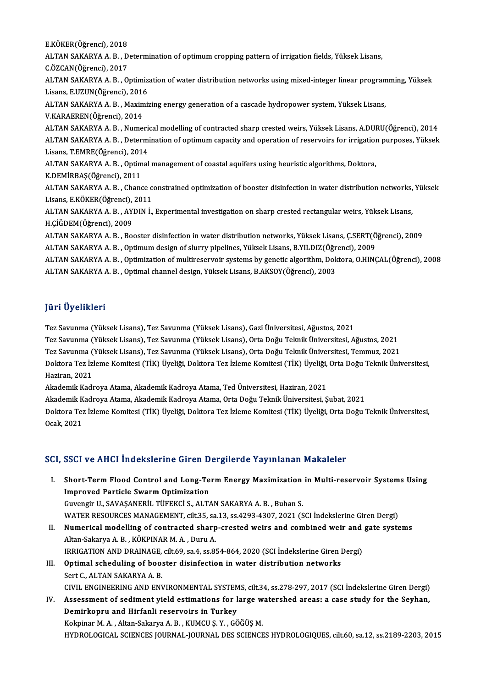E.KÖKER(Öğrenci), 2018<br>ALTAN SAKARYA A. B. D ALTAN SAKARYA A. B. , Determination of optimum cropping pattern of irrigation fields, Yüksek Lisans,<br>C.ÖZCAN(Öğrenci), 2017 E.KÖKER(Öğrenci), 2018<br>ALTAN SAKARYA A. B. , D<br>C.ÖZCAN(Öğrenci), 2017<br>ALTAN SAKARYA A. B. ALTAN SAKARYA A. B. , Determination of optimum cropping pattern of irrigation fields, Yüksek Lisans,<br>C.ÖZCAN(Öğrenci), 2017<br>ALTAN SAKARYA A. B. , Optimization of water distribution networks using mixed-integer linear progr C.ÖZCAN(Öğrenci), 2017<br>ALTAN SAKARYA A. B. , Optimiz:<br>Lisans, E.UZUN(Öğrenci), 2016<br>ALTAN SAKARYA A. B. Məximiz ALTAN SAKARYA A. B. , Optimization of water distribution networks using mixed-integer linear program<br>Lisans, E.UZUN(Öğrenci), 2016<br>ALTAN SAKARYA A. B. , Maximizing energy generation of a cascade hydropower system, Yüksek L Lisans, E.UZUN(Öğrenci), 2016<br>ALTAN SAKARYA A. B. , Maximizing energy generation of a cascade hydropower system, Yüksek Lisans,<br>V.KARAEREN(Öğrenci), 2014 ALTAN SAKARYA A.B., Numerical modelling of contracted sharp crested weirs, Yüksek Lisans, A.DURU(Öğrenci), 2014 ALTAN SAKARYA A.B. , Determination of optimum capacity and operation of reservoirs for irrigation purposes, Yüksek ALTAN SAKARYA A. B. , Numeri<br>ALTAN SAKARYA A. B. , Determi<br>Lisans, T.EMRE(Öğrenci), 2014<br>ALTAN SAKARYA A. B. , Ontimel ALTAN SAKARYA A. B. , Optimal management of coastal aquifers using heuristic algorithms, Doktora,<br>K.DEMİRBAS(Öğrenci), 2011 Lisans, T.EMRE(Öğrenci), 201<br>ALTAN SAKARYA A. B. , Optim<br>K.DEMİRBAŞ(Öğrenci), 2011<br>ALTAN SAKARYA A. B. . Chane ALTAN SAKARYA A. B. , Optimal management of coastal aquifers using heuristic algorithms, Doktora,<br>K.DEMİRBAŞ(Öğrenci), 2011<br>ALTAN SAKARYA A. B. , Chance constrained optimization of booster disinfection in water distributio K.DEMİRBAŞ(Öğrenci), 2011<br>ALTAN SAKARYA A. B. , Chance c<br>Lisans, E.KÖKER(Öğrenci), 2011<br>ALTAN SAKARYA A. B. AYDIN İ ALTAN SAKARYA A. B. , Chance constrained optimization of booster disinfection in water distribution networks,<br>Lisans, E.KÖKER(Öğrenci), 2011<br>ALTAN SAKARYA A. B. , AYDIN İ., Experimental investigation on sharp crested recta Lisans, E.KÖKER(Öğrenci),<br>ALTAN SAKARYA A. B. , AY<br>H.ÇİĞDEM(Öğrenci), 2009<br>ALTAN SAKARYA A. B. - Bo ALTAN SAKARYA A. B. , AYDIN İ., Experimental investigation on sharp crested rectangular weirs, Yüksek Lisans,<br>H.ÇİĞDEM(Öğrenci), 2009<br>ALTAN SAKARYA A. B. , Booster disinfection in water distribution networks, Yüksek Lisans H.ÇİĞDEM(Öğrenci), 2009<br>ALTAN SAKARYA A. B. , Booster disinfection in water distribution networks, Yüksek Lisans, Ç.SERT(Ö<br>ALTAN SAKARYA A. B. , Optimum design of slurry pipelines, Yüksek Lisans, B.YILDIZ(Öğrenci), 2009<br>AL ALTAN SAKARYA A. B. , Optimum design of slurry pipelines, Yüksek Lisans, B.YILDIZ(Öğrenci), 2009<br>ALTAN SAKARYA A. B. , Optimization of multireservoir systems by genetic algorithm, Doktora, O.HINÇAL(Öğrenci), 2008 ALTAN SAKARYA A.B., Optimal channel design, Yüksek Lisans, B.AKSOY(Öğrenci), 2003

## JüriÜyelikleri

Tez Savunma (YüksekLisans),Tez Savunma (YüksekLisans),GaziÜniversitesi,Ağustos,2021 Tez Savunma (Yüksek Lisans), Tez Savunma (Yüksek Lisans), Gazi Üniversitesi, Ağustos, 2021<br>Tez Savunma (Yüksek Lisans), Tez Savunma (Yüksek Lisans), Orta Doğu Teknik Üniversitesi, Ağustos, 2021<br>Tez Savunma (Yüksek Lisans),

Tez Savunma (YüksekLisans),Tez Savunma (YüksekLisans),OrtaDoğuTeknikÜniversitesi,Ağustos,2021

Tez Savunma (Yüksek Lisans), Tez Savunma (Yüksek Lisans), Orta Doğu Teknik Üniversitesi, Ağustos, 2021<br>Tez Savunma (Yüksek Lisans), Tez Savunma (Yüksek Lisans), Orta Doğu Teknik Üniversitesi, Temmuz, 2021<br>Doktora Tez İzlem Tez Savunma (<br>Doktora Tez İz<br>Haziran, 2021<br>Akademik Kadı Doktora Tez İzleme Komitesi (TİK) Üyeliği, Doktora Tez İzleme Komitesi (TİK) Üyeliği, Orta Doğu Teknik Üniversitesi,<br>Haziran, 2021<br>Akademik Kadroya Atama, Akademik Kadroya Atama, Ted Üniversitesi, Haziran, 2021

Haziran, 2021<br>Akademik Kadroya Atama, Akademik Kadroya Atama, Ted Üniversitesi, Haziran, 2021<br>Akademik Kadroya Atama, Akademik Kadroya Atama, Orta Doğu Teknik Üniversitesi, Şubat, 2021<br>Dektera Ter İzlama Kemitesi (TİK) Üye

Doktora Tez İzleme Komitesi (TİK) Üyeliği, Doktora Tez İzleme Komitesi (TİK) Üyeliği, Orta Doğu Teknik Üniversitesi,<br>Ocak, 2021 Akademik K<br>Doktora Tez<br>Ocak, 2021

### SCI, SSCI ve AHCI İndekslerine Giren Dergilerde Yayınlanan Makaleler

- CI, SSCI ve AHCI İndekslerine Giren Dergilerde Yayınlanan Makaleler<br>I. Short-Term Flood Control and Long-Term Energy Maximization in Multi-reservoir Systems Using<br>Improved Barticle System Optimization SBOT TO THIST HILORDICHING SHIGH B<br>Short-Term Flood Control and Long-Te<br>Improved Particle Swarm Optimization Improved Particle Swarm Optimization<br>Guvengir U., SAVAŞANERİL TÜFEKCİ S., ALTAN SAKARYA A. B. , Buhan S. WATER RESOURCES MANAGEMENT, cilt.35, sa.13, ss.4293-4307, 2021 (SCI İndekslerine Giren Dergi) Guvengir U., SAVAŞANERİL TÜFEKCİ S., ALTAN SAKARYA A. B. , Buhan S.<br>WATER RESOURCES MANAGEMENT, cilt.35, sa.13, ss.4293-4307, 2021 (SCI İndekslerine Giren Dergi)<br>II. Numerical modelling of contracted sharp-crested weirs an
- Altan-Sakarya A. B. , KÖKPINAR M. A. , Duru A.<br>IRRIGATION AND DRAINAGE, cilt.69, sa.4, ss.854-864, 2020 (SCI İndekslerine Giren Dergi) Numerical modelling of contracted sharp-crested weirs and combined weir and<br>Altan-Sakarya A. B., KÖKPINAR M. A., Duru A.<br>IRRIGATION AND DRAINAGE, cilt.69, sa.4, ss.854-864, 2020 (SCI İndekslerine Giren Dergi)<br>Ontimal ashed Altan-Sakarya A. B., KÖKPINAR M. A., Duru A.<br>IRRIGATION AND DRAINAGE, cilt.69, sa.4, ss.854-864, 2020 (SCI Indekslerine Giren I<br>III. Optimal scheduling of booster disinfection in water distribution networks<br>Sent C. ALTAN S
- **IRRIGATION AND DRAINAGE,<br>Optimal scheduling of boo:**<br>Sert C., ALTAN SAKARYA A. B.<br>CIVIL ENCINEERING AND ENI Sert C., ALTAN SAKARYA A. B.<br>CIVIL ENGINEERING AND ENVIRONMENTAL SYSTEMS, cilt.34, ss.278-297, 2017 (SCI İndekslerine Giren Dergi) Sert C., ALTAN SAKARYA A. B.<br>CIVIL ENGINEERING AND ENVIRONMENTAL SYSTEMS, cilt.34, ss.278-297, 2017 (SCI İndekslerine Giren Dergi)<br>IV. Assessment of sediment yield estimations for large watershed areas: a case study for th
- Demirkopru and Hirfanli reservoirs in Turkey<br>Kokpinar M. A. , Altan-Sakarya A. B. , KUMCU Ş. Y. , GÖĞÜŞ M. Assessment of sediment yield estimations for large w<br>Demirkopru and Hirfanli reservoirs in Turkey<br>Kokpinar M.A., Altan-Sakarya A.B., KUMCU Ş.Y., GÖĞÜŞ M.<br>HYDROLOCICAL SCIENCES JOURNAL JOURNAL DES SCIENCE HYDROLOGICAL SCIENCES JOURNAL-JOURNALDES SCIENCESHYDROLOGIQUES, cilt.60, sa.12, ss.2189-2203,2015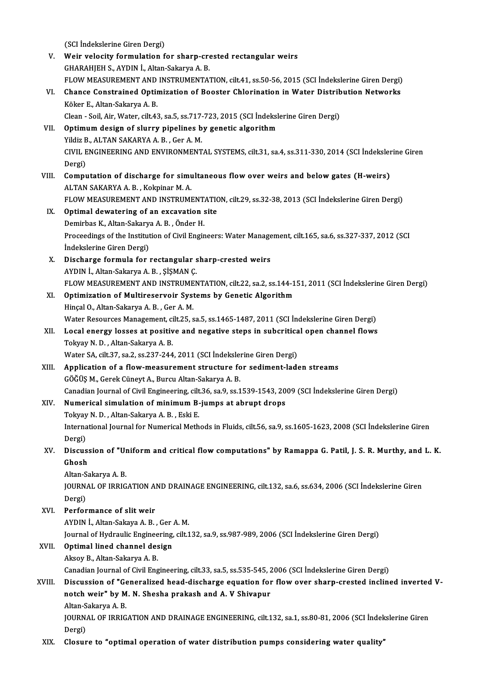(SCI İndekslerine Giren Dergi) (SCI indekslerine Giren Dergi)<br>V. Weir velocity formulation for sharp-crested rectangular weirs<br>CHARAHIEH S. AVDIN i. Altan Sekawa A. B (SCI İndekslerine Giren Dergi)<br>Weir velocity formulation for sharp-cre<br>GHARAHJEH S., AYDIN İ., Altan-Sakarya A. B.<br>ELOW MEASUREMENT AND INSTRUMENTA' Weir velocity formulation for sharp-crested rectangular weirs<br>GHARAHJEH S., AYDIN İ., Altan-Sakarya A. B.<br>FLOW MEASUREMENT AND INSTRUMENTATION, cilt.41, ss.50-56, 2015 (SCI İndekslerine Giren Dergi)<br>Change Constrained Onti GHARAHJEH S., AYDIN İ., Altan-Sakarya A. B.<br>FLOW MEASUREMENT AND INSTRUMENTATION, cilt.41, ss.50-56, 2015 (SCI İndekslerine Giren Dergi)<br>VI. Chance Constrained Optimization of Booster Chlorination in Water Distribution Net FLOW MEASUREMENT AND<br>Chance Constrained Optin<br>Köker E., Altan-Sakarya A. B.<br>Clean - Sail Air Water silt 43 Chance Constrained Optimization of Booster Chlorination in Water Distrib<br>Köker E., Altan-Sakarya A. B.<br>Clean - Soil, Air, Water, cilt.43, sa.5, ss.717-723, 2015 (SCI İndekslerine Giren Dergi)<br>Ontimum design of slurey pinal Köker E., Altan-Sakarya A. B.<br>Clean - Soil, Air, Water, cilt.43, sa.5, ss.717-723, 2015 (SCI İndeksl<br>VII. Optimum design of slurry pipelines by genetic algorithm<br>Vildir B. ALTAN SAKARYA A. B. Cor A. M. Clean - Soil, Air, Water, cilt.43, sa.5, ss.717<br>Optimum design of slurry pipelines b<br>Yildiz B., ALTAN SAKARYA A. B. , Ger A. M.<br>CIVIL ENCINEERING AND ENVIRONMENT Optimum design of slurry pipelines by genetic algorithm<br>Yildiz B., ALTAN SAKARYA A. B. , Ger A. M.<br>CIVIL ENGINEERING AND ENVIRONMENTAL SYSTEMS, cilt.31, sa.4, ss.311-330, 2014 (SCI İndekslerine Giren<br>Persi) Yildiz B<br>CIVIL E<br>Dergi)<br>Compu CIVIL ENGINEERING AND ENVIRONMENTAL SYSTEMS, cilt.31, sa.4, ss.311-330, 2014 (SCI Indeksler<br>Dergi)<br>VIII. Computation of discharge for simultaneous flow over weirs and below gates (H-weirs)<br>ALTAN SAKARYA A.B. Kolminar M.A. Dergi)<br>VIII. Computation of discharge for simultaneous flow over weirs and below gates (H-weirs)<br>ALTAN SAKARYA A.B., Kokpinar M.A. Computation of discharge for simultaneous flow over weirs and below gates (H-weirs)<br>ALTAN SAKARYA A. B. , Kokpinar M. A.<br>FLOW MEASUREMENT AND INSTRUMENTATION, cilt.29, ss.32-38, 2013 (SCI İndekslerine Giren Dergi)<br>Ontimal IX. Optimal dewatering of an excavation site FLOW MEASUREMENT AND INSTRUMENT.<br>Optimal dewatering of an excavation s<br>Demirbas K., Altan-Sakarya A. B. , Önder H.<br>Preseedings of the Institution of Civil Engin Proceedings of the Institution of Civil Engineers: Water Management, cilt.165, sa.6, ss.327-337, 2012 (SCI Indekslerine Giren Dergi) Demirbas K., Altan-Sakarya A. B., Önder H. Proceedings of the Institution of Civil Engineers: Water Manage<br>Indekslerine Giren Dergi)<br>X. Discharge formula for rectangular sharp-crested weirs<br>AVPIN LAlten Selmure A.B. SiSMAN C İndekslerine Giren Dergi)<br>Discharge formula for rectangular s<br>AYDIN İ., Altan-Sakarya A.B. , ŞİŞMAN Ç.<br>ELOW MEASUREMENT AND INSTRUMEN Discharge formula for rectangular sharp-crested weirs<br>AYDIN İ., Altan-Sakarya A. B. , ŞİŞMAN Ç.<br>FLOW MEASUREMENT AND INSTRUMENTATION, cilt.22, sa.2, ss.144-151, 2011 (SCI İndekslerine Giren Dergi)<br>Ontimiration of Multiresc AYDIN İ., Altan-Sakarya A. B. , ŞİŞMAN Ç.<br>FLOW MEASUREMENT AND INSTRUMENTATION, cilt.22, sa.2, ss.144-XI.<br>XI. Optimization of Multireservoir Systems by Genetic Algorithm<br>Hincal O., Altan-Sakarya A. B. , Ger A. M. FLOW MEASUREMENT AND INSTRUME<br>Optimization of Multireservoir Syst<br>Hinçal O., Altan-Sakarya A. B. , Ger A. M.<br>Water Becources Management, cilt 25, s Optimization of Multireservoir Systems by Genetic Algorithm<br>Hinçal O., Altan-Sakarya A. B. , Ger A. M.<br>Water Resources Management, cilt.25, sa.5, ss.1465-1487, 2011 (SCI İndekslerine Giren Dergi)<br>Logal anargy lasses at nas Hinçal O., Altan-Sakarya A. B. , Ger A. M.<br>Water Resources Management, cilt.25, sa.5, ss.1465-1487, 2011 (SCI İndekslerine Giren Dergi)<br>XII. Local energy losses at positive and negative steps in subcritical open channel fl Water Resources Management, ci<br>Local energy losses at positiv<br>Tokyay N. D. , Altan-Sakarya A. B.<br>Water SA. 9ilt 37, ss 2, ss 337, 244 XII. Local energy losses at positive and negative steps in subcritical open channel flows<br>Tokyay N.D., Altan-Sakarya A.B.<br>Water SA, cilt.37, sa.2, ss.237-244, 2011 (SCI İndekslerine Giren Dergi) XIII. Application of a flow-measurement structure for sediment-laden streams GÖĞÜŞM.,GerekCüneytA.,BurcuAltan-SakaryaA.B. Application of a flow-measurement structure for sediment-laden streams<br>GÖĞÜŞ M., Gerek Cüneyt A., Burcu Altan-Sakarya A. B.<br>Canadian Journal of Civil Engineering, cilt.36, sa.9, ss.1539-1543, 2009 (SCI İndekslerine Giren D XIV. Numerical simulation of minimum B-jumps at abrupt drops<br>Tokyay N. D., Altan-Sakarya A. B., Eski E. Canadian Journal of Civil Engineering, cilt<br>Numerical simulation of minimum B-<br>Tokyay N. D. , Altan-Sakarya A. B. , Eski E.<br>International Journal for Numerical Meth Numerical simulation of minimum B-jumps at abrupt drops<br>Tokyay N. D. , Altan-Sakarya A. B. , Eski E.<br>International Journal for Numerical Methods in Fluids, cilt.56, sa.9, ss.1605-1623, 2008 (SCI İndekslerine Giren<br>Dergi) Tokyay<br>Interna<br>Dergi)<br>Disaya International Journal for Numerical Methods in Fluids, cilt.56, sa.9, ss.1605-1623, 2008 (SCI Indekslerine Giren<br>Dergi)<br>XV. Discussion of "Uniform and critical flow computations" by Ramappa G. Patil, J. S. R. Murthy, and L Dergi)<br>Discus:<br>Ghosh<br>Altan Sa Discussion of "U<mark>l</mark><br>Ghosh<br>Altan-Sakarya A. B.<br>JOUPNAL OF IPPIC Ghosh<br>Altan-Sakarya A. B.<br>JOURNAL OF IRRIGATION AND DRAINAGE ENGINEERING, cilt.132, sa.6, ss.634, 2006 (SCI İndekslerine Giren<br>Persi) Altan-S<br>JOURN<br>Dergi)<br>Perfer XVI. Performance of slitweir AYDINİ.,Altan-SakayaA.B. ,GerA.M. Performance of slit weir<br>AYDIN İ., Altan-Sakaya A. B. , Ger A. M.<br>Journal of Hydraulic Engineering, cilt.132, sa.9, ss.987-989, 2006 (SCI İndekslerine Giren Dergi)<br>Ontimal lined shannal desisn XVII. Optimal lined channel design<br>Aksoy B., Altan-Sakarya A. B. Journal of Hydraulic Enginee<br>Optimal lined channel des<br>Aksoy B., Altan-Sakarya A. B.<br>Canadian Journal of Civil Eng Optimal lined channel design<br>Aksoy B., Altan-Sakarya A. B.<br>Canadian Journal of Civil Engineering, cilt.33, sa.5, ss.535-545, 2006 (SCI İndekslerine Giren Dergi)<br>Disayasian of "Canaralized baad disabarga equation for flow o Aksoy B., Altan-Sakarya A. B.<br>Canadian Journal of Civil Engineering, cilt.33, sa.5, ss.535-545, 2006 (SCI İndekslerine Giren Dergi)<br>XVIII. Discussion of "Generalized head-discharge equation for flow over sharp-crested incl Canadian Journal of Civil Engineering, cilt.33, sa.5, ss.535-545, 2<br>Discussion of "Generalized head-discharge equation for<br>notch weir" by M. N. Shesha prakash and A. V Shivapur<br>Altan Sakawa A. B Discussion of "Ge<br>notch weir" by M<br>Altan-Sakarya A. B.<br>JOUPMAL OF IPPIC notch weir" by M. N. Shesha prakash and A. V Shivapur<br>Altan-Sakarya A. B.<br>JOURNAL OF IRRIGATION AND DRAINAGE ENGINEERING, cilt.132, sa.1, ss.80-81, 2006 (SCI İndekslerine Giren<br>Dergi) Altan-Sakarya A.B. XIX. Closure to "optimal operation of water distribution pumps considering water quality"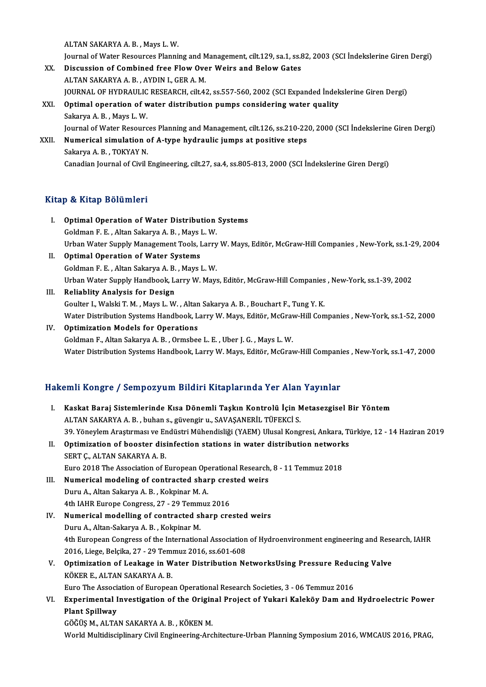ALTANSAKARYAA.B. ,Mays L.W.

- Journal of Water Resources Planning and Management, cilt.129, sa.1, ss.82, 2003 (SCI İndekslerine Giren Dergi)
- ALTAN SAKARYA A. B., Mays L. W.<br>Journal of Water Resources Planning and Management, cilt.129, sa.1, ss.<br>XX. Discussion of Combined free Flow Over Weirs and Below Gates Journal of Water Resources Planning and M<br>Discussion of Combined free Flow Ove<br>ALTAN SAKARYA A. B. , AYDIN I., GER A. M.<br>JOURNAL OF HYDRAULIC RESEARCH, sit 4: ALTAN SAKARYA A. B. , AYDIN I., GER A. M.<br>JOURNAL OF HYDRAULIC RESEARCH, cilt.42, ss.557-560, 2002 (SCI Expanded İndekslerine Giren Dergi)
- XXI. Optimal operation of water distribution pumps considering water quality Sakarya A. B., Mays L. W. Journal of Water Resources Planning and Management, cilt.126, ss.210-220, 2000 (SCI İndekslerine Giren Dergi) Sakarya A. B. , Mays L. W.<br>Journal of Water Resources Planning and Management, cilt.126, ss.210-22<br>XXII. Numerical simulation of A-type hydraulic jumps at positive steps<br>Sakarya A. B. TOKYAY N.

Journal of Water Resourc<br><mark>Numerical simulation c</mark><br>Sakarya A. B. , TOKYAY N.<br>Canadian Journal of Civil I Sakarya A. B. , TOKYAY N.<br>Canadian Journal of Civil Engineering, cilt.27, sa.4, ss.805-813, 2000 (SCI İndekslerine Giren Dergi)

### Kitap & Kitap Bölümleri

- Itap & Kitap Bölümleri<br>I. Optimal Operation of Water Distribution Systems<br>Coldman E.E. Altan Sakawya A.B. Maya L.W gold Kridp Bordmior<br>Optimal Operation of Water Distribution<br>Goldman F. E. , Altan Sakarya A. B. , Mays L.W.<br>Urban Water Sunnly Management Teola Jorny Optimal Operation of Water Distribution Systems<br>Goldman F. E. , Altan Sakarya A. B. , Mays L. W.<br>Urban Water Supply Management Tools, Larry W. Mays, Editör, McGraw-Hill Companies , New-York, ss.1-29, 2004<br>Ontimal Operation Goldman F. E. , Altan Sakarya A. B. , Mays J<br>Urban Water Supply Management Tools, I<br>II. Optimal Operation of Water Systems
- Urban Water Supply Management Tools, Larry<br>**Optimal Operation of Water Systems**<br>Goldman F. E. , Altan Sakarya A. B. , Mays L. W.<br>Urban Water Supply Handbook, Larry W. Mays Optimal Operation of Water Systems<br>Goldman F. E. , Altan Sakarya A. B. , Mays L. W.<br>Urban Water Supply Handbook, Larry W. Mays, Editör, McGraw-Hill Companies , New-York, ss.1-39, 2002<br>Reliablity Analysis for Dosign Goldman F. E. , Altan Sakarya A. B. , Mays L. W.<br>Urban Water Supply Handbook, Larry W. Mays, Editör, McGraw-Hill Companies<br>III. Reliablity Analysis for Design<br>Goulter I., Walski T. M. , Mays L. W. , Altan Sakarya A. B. , B
- Urban Water Supply Handbook, Larry W. Mays, Editör, McGraw-Hill Companies<br>Reliablity Analysis for Design<br>Goulter I., Walski T. M. , Mays L. W. , Altan Sakarya A. B. , Bouchart F., Tung Y. K.<br>Water Distribution Systems Hand Reliablity Analysis for Design<br>Goulter I., Walski T. M. , Mays L. W. , Altan Sakarya A. B. , Bouchart F., Tung Y. K.<br>Water Distribution Systems Handbook, Larry W. Mays, Editör, McGraw-Hill Companies , New-York, ss.1-52, 20 Goulter I., Walski T. M., Mays L. W., Altan<br>Water Distribution Systems Handbook, L.<br>IV. Optimization Models for Operations
- IV. Optimization Models for Operations<br>Goldman F., Altan Sakarya A. B. , Ormsbee L. E. , Uber J. G. , Mays L. W. Water Distribution Systems Handbook, Larry W. Mays, Editör, McGraw-Hill Companies , New-York, ss.1-47, 2000

### Hakemli Kongre / Sempozyum Bildiri Kitaplarında Yer Alan Yayınlar

I. Kaskat Baraj Sistemlerinde Kısa Dönemli Taşkın Kontrolü İçin Metasezgisel Bir Yöntem ALTAN SAKARYA A.B., buhan s., güvengir u., SAVAŞANERİL TÜFEKCİ S. Kaskat Baraj Sistemlerinde Kısa Dönemli Taşkın Kontrolü İçin Metasezgisel Bir Yöntem<br>ALTAN SAKARYA A. B. , buhan s., güvengir u., SAVAŞANERİL TÜFEKCİ S.<br>39. Yöneylem Araştırması ve Endüstri Mühendisliği (YAEM) Ulusal Kongr ALTAN SAKARYA A. B. , buhan s., güvengir u., SAVAŞANERİL TÜFEKCİ S.<br>39. Yöneylem Araştırması ve Endüstri Mühendisliği (YAEM) Ulusal Kongresi, Ankara, T<br>II. Optimization of booster disinfection stations in water distributio 39. Yöneylem Araştırması ve Er<br>**Optimization of booster dis:**<br>SERT Ç., ALTAN SAKARYA A. B.<br>Euro 2019 The Association of E Optimization of booster disinfection stations in water distribution network<br>SERT Ç., ALTAN SAKARYA A. B.<br>Euro 2018 The Association of European Operational Research, 8 - 11 Temmuz 2018<br>Numerical modeling of contracted sharp SERT Ç., ALTAN SAKARYA A. B.<br>Euro 2018 The Association of European Operational Research<br>III. Numerical modeling of contracted sharp crested weirs<br>Dury A. Altan Sakarya A. B. Kakpinar M. A. Euro 2018 The Association of European Ope<br>**Numerical modeling of contracted shar**<br>Duru A., Altan Sakarya A. B. , Kokpinar M. A.<br>4th JAHP Europe Congress 27, 29 Temmus Numerical modeling of contracted sharp cres<br>Duru A., Altan Sakarya A. B. , Kokpinar M. A.<br>4th IAHR Europe Congress, 27 - 29 Temmuz 2016<br>Numerical modelling of contracted sharp are Duru A., Altan Sakarya A. B. , Kokpinar M. A.<br>4th IAHR Europe Congress, 27 - 29 Temmuz 2016<br>IV. Numerical modelling of contracted sharp crested weirs<br>Duru A., Altan-Sakarya A. B. , Kokpinar M. 4th IAHR Europe Congress, 27 - 29 Temm<br>Numerical modelling of contracted sl<br>Duru A., Altan-Sakarya A. B. , Kokpinar M.<br>4th Europeen Congress of the Internation Numerical modelling of contracted sharp crested weirs<br>Duru A., Altan-Sakarya A. B. , Kokpinar M.<br>4th European Congress of the International Association of Hydroenvironment engineering and Research, IAHR<br>2016 Lisse Belsika Duru A., Altan-Sakarya A. B. , Kokpinar M.<br>4th European Congress of the International Association<br>2016, Liege, Belçika, 27 - 29 Temmuz 2016, ss.601-608<br>Ontimination of Loskage in Weter Distribution Ne 4th European Congress of the International Association of Hydroenvironment engineering and Rese<br>2016, Liege, Belçika, 27 - 29 Temmuz 2016, ss.601-608<br>V. Optimization of Leakage in Water Distribution NetworksUsing Pressure 2016, Liege, Belçika, 27 - 29 Temmuz 2016, ss.601-608<br>Optimization of Leakage in Water Distribution N<br>KÖKER E., ALTAN SAKARYA A. B. V. Optimization of Leakage in Water Distribution NetworksUsing Pressure Reducing Valve KÖKER E., ALTAN SAKARYA A. B.<br>Euro The Association of European Operational Research Societies, 3 - 06 Temmuz 2016<br>VI. Experimental Investigation of the Original Project of Yukari Kaleköy Dam and Hydroelectric Power<br>Plant S Euro The Association of European Operational Research Societies, 3 - 06 Temmuz 2016<br>Experimental Investigation of the Original Project of Yukari Kaleköy Dam and<br>Plant Spillway<br>GÖĞÜS M., ALTAN SAKARYA A. B. , KÖKEN M. Experimental Investigation of the Origin<br>Plant Spillway<br>GÖĞÜŞ M., ALTAN SAKARYA A.B. , KÖKEN M.<br>World Multidissiplinary Civil Ensineering Are World Multidisciplinary Civil Engineering-Architecture-Urban Planning Symposium 2016, WMCAUS 2016, PRAG,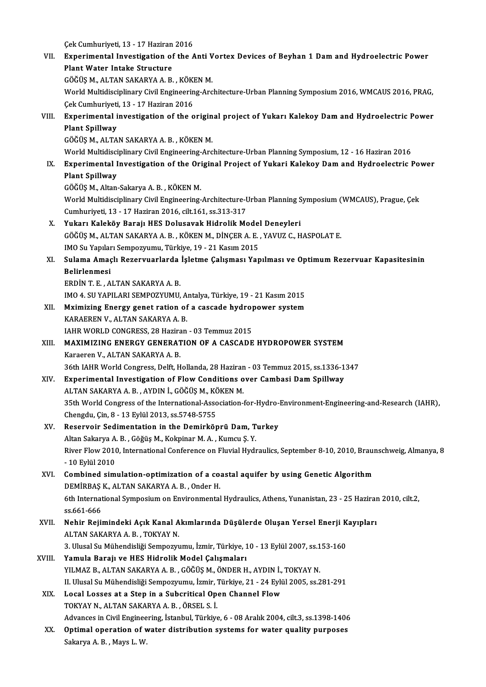|        | Çek Cumhuriyeti, 13 - 17 Haziran 2016                                                                           |
|--------|-----------------------------------------------------------------------------------------------------------------|
| VII.   | Experimental Investigation of the Anti Vortex Devices of Beyhan 1 Dam and Hydroelectric Power                   |
|        | Plant Water Intake Structure                                                                                    |
|        | GÖĞÜŞ M., ALTAN SAKARYA A. B. , KÖKEN M.                                                                        |
|        | World Multidisciplinary Civil Engineering-Architecture-Urban Planning Symposium 2016, WMCAUS 2016, PRAG,        |
|        | Çek Cumhuriyeti, 13 - 17 Haziran 2016                                                                           |
| VIII.  | Experimental investigation of the original project of Yukarı Kalekoy Dam and Hydroelectric Power                |
|        | <b>Plant Spillway</b>                                                                                           |
|        | GÖĞÜŞ M., ALTAN SAKARYA A. B., KÖKEN M.                                                                         |
|        | World Multidisciplinary Civil Engineering-Architecture-Urban Planning Symposium, 12 - 16 Haziran 2016           |
| IX.    | Experimental Investigation of the Original Project of Yukari Kalekoy Dam and Hydroelectric Power                |
|        | Plant Spillway                                                                                                  |
|        | GÖĞÜŞ M., Altan-Sakarya A. B., KÖKEN M.                                                                         |
|        | World Multidisciplinary Civil Engineering-Architecture-Urban Planning Symposium (WMCAUS), Prague, Çek           |
|        | Cumhuriyeti, 13 - 17 Haziran 2016, cilt 161, ss 313-317                                                         |
| X.     | Yukarı Kaleköy Barajı HES Dolusavak Hidrolik Model Deneyleri                                                    |
|        | GÖĞÜŞ M., ALTAN SAKARYA A. B., KÖKEN M., DİNÇER A. E., YAVUZ C., HASPOLAT E.                                    |
|        | IMO Su Yapıları Sempozyumu, Türkiye, 19 - 21 Kasım 2015                                                         |
| XI.    | Sulama Amaçlı Rezervuarlarda İşletme Çalışması Yapılması ve Optimum Rezervuar Kapasitesinin                     |
|        | Belirlenmesi                                                                                                    |
|        | ERDIN T. E., ALTAN SAKARYA A. B.                                                                                |
|        | IMO 4. SU YAPILARI SEMPOZYUMU, Antalya, Türkiye, 19 - 21 Kasım 2015                                             |
| XII.   | Mximizing Energy genet ration of a cascade hydropower system                                                    |
|        | KARAEREN V., ALTAN SAKARYA A. B.                                                                                |
|        | IAHR WORLD CONGRESS, 28 Haziran - 03 Temmuz 2015                                                                |
| XIII.  | MAXIMIZING ENERGY GENERATION OF A CASCADE HYDROPOWER SYSTEM                                                     |
|        | Karaeren V., ALTAN SAKARYA A. B.                                                                                |
|        | 36th IAHR World Congress, Delft, Hollanda, 28 Haziran - 03 Temmuz 2015, ss 1336-1347                            |
| XIV.   | Experimental Investigation of Flow Conditions over Cambasi Dam Spillway                                         |
|        | ALTAN SAKARYA A. B., AYDIN İ., GÖĞÜŞ M., KÖKEN M.                                                               |
|        | 35th World Congress of the International-Association-for-Hydro-Environment-Engineering-and-Research (IAHR),     |
|        | Chengdu, Çin, 8 - 13 Eylül 2013, ss 5748-5755                                                                   |
| XV.    | Reservoir Sedimentation in the Demirköprü Dam, Turkey                                                           |
|        | Altan Sakarya A. B., Göğüş M., Kokpinar M. A., Kumcu Ş. Y.                                                      |
|        | River Flow 2010, International Conference on Fluvial Hydraulics, September 8-10, 2010, Braunschweig, Almanya, 8 |
|        | - 10 Eylül 2010                                                                                                 |
| XVI.   | Combined simulation-optimization of a coastal aquifer by using Genetic Algorithm                                |
|        | DEMİRBAŞ K., ALTAN SAKARYA A.B., Onder H.                                                                       |
|        | 6th International Symposium on Environmental Hydraulics, Athens, Yunanistan, 23 - 25 Haziran 2010, cilt.2,      |
|        | ss 661-666                                                                                                      |
| XVII.  | Nehir Rejimindeki Açık Kanal Akımlarında Düşülerde Oluşan Yersel Enerji Kayıpları                               |
|        | ALTAN SAKARYA A.B., TOKYAY N.                                                                                   |
|        | 3. Ulusal Su Mühendisliği Sempozyumu, İzmir, Türkiye, 10 - 13 Eylül 2007, ss.153-160                            |
| XVIII. | Yamula Barajı ve HES Hidrolik Model Çalışmaları                                                                 |
|        | YILMAZ B., ALTAN SAKARYA A. B., GÖĞÜŞ M., ÖNDER H., AYDIN İ., TOKYAY N.                                         |
|        | II. Ulusal Su Mühendisliği Sempozyumu, İzmir, Türkiye, 21 - 24 Eylül 2005, ss.281-291                           |
| XIX.   | Local Losses at a Step in a Subcritical Open Channel Flow                                                       |
|        | TOKYAY N., ALTAN SAKARYA A. B., ÖRSEL S. İ.                                                                     |
|        | Advances in Civil Engineering, İstanbul, Türkiye, 6 - 08 Aralık 2004, cilt.3, ss.1398-1406                      |
| XX.    | Optimal operation of water distribution systems for water quality purposes                                      |
|        | Sakarya A. B., Mays L. W.                                                                                       |
|        |                                                                                                                 |